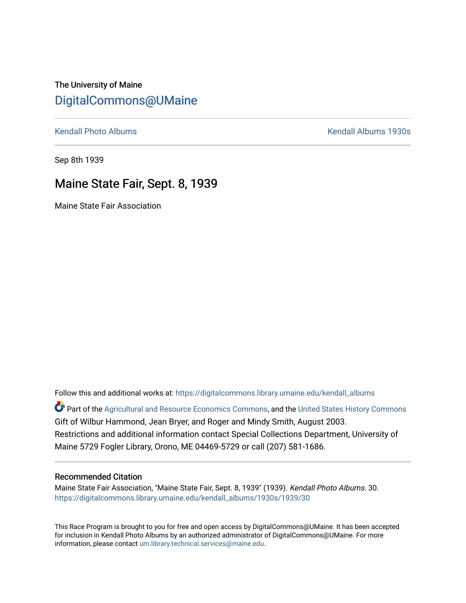The University of Maine [DigitalCommons@UMaine](https://digitalcommons.library.umaine.edu/)

[Kendall Photo Albums](https://digitalcommons.library.umaine.edu/kendall_albums) **Kendall Albums 1930s** 

Sep 8th 1939

### Maine State Fair, Sept. 8, 1939

Maine State Fair Association

Follow this and additional works at: [https://digitalcommons.library.umaine.edu/kendall\\_albums](https://digitalcommons.library.umaine.edu/kendall_albums?utm_source=digitalcommons.library.umaine.edu%2Fkendall_albums%2F1930s%2F1939%2F30&utm_medium=PDF&utm_campaign=PDFCoverPages)  Part of the [Agricultural and Resource Economics Commons,](http://network.bepress.com/hgg/discipline/317?utm_source=digitalcommons.library.umaine.edu%2Fkendall_albums%2F1930s%2F1939%2F30&utm_medium=PDF&utm_campaign=PDFCoverPages) and the [United States History Commons](http://network.bepress.com/hgg/discipline/495?utm_source=digitalcommons.library.umaine.edu%2Fkendall_albums%2F1930s%2F1939%2F30&utm_medium=PDF&utm_campaign=PDFCoverPages) Gift of Wilbur Hammond, Jean Bryer, and Roger and Mindy Smith, August 2003. Restrictions and additional information contact Special Collections Department, University of Maine 5729 Fogler Library, Orono, ME 04469-5729 or call (207) 581-1686.

### Recommended Citation

Maine State Fair Association, "Maine State Fair, Sept. 8, 1939" (1939). Kendall Photo Albums. 30. [https://digitalcommons.library.umaine.edu/kendall\\_albums/1930s/1939/30](https://digitalcommons.library.umaine.edu/kendall_albums/1930s/1939/30?utm_source=digitalcommons.library.umaine.edu%2Fkendall_albums%2F1930s%2F1939%2F30&utm_medium=PDF&utm_campaign=PDFCoverPages)

This Race Program is brought to you for free and open access by DigitalCommons@UMaine. It has been accepted for inclusion in Kendall Photo Albums by an authorized administrator of DigitalCommons@UMaine. For more information, please contact [um.library.technical.services@maine.edu](mailto:um.library.technical.services@maine.edu).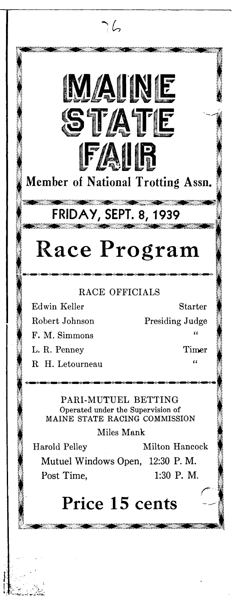## Member of National Trotting Assn.

**FA IR**

**M A IN E**

7. G

**S T A T E**

# **FRIDAY, SEPT. 8 , 1939**

# **Race Program**

### RACE OFFICIALS

F. M. Simmons **"** L. R. Penney Timer

Edwin Keller Starter Robert Johnson Presiding Judge

R H. Letourneau **"**

PARI-MUTUEL BETTING Operated under the Supervision of MAINE STATE RACING COMMISSION

Miles Mank

Harold Pelley Milton Hancock

**Mutuel Windows Open, 12:30 P. M. Post Time, 1:30 P. M.**

## **Price 15 cents**

**DIK DIK DIK**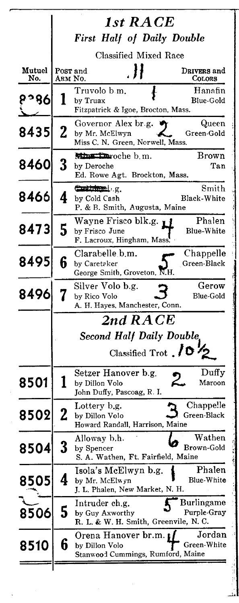|               | 1st RACE                                                          |                                                                              |                              |
|---------------|-------------------------------------------------------------------|------------------------------------------------------------------------------|------------------------------|
|               | <b>First Half of Daily Double</b><br><b>Classified Mixed Race</b> |                                                                              |                              |
| Mutuel<br>No. |                                                                   | . }}<br>Post and<br>ARM No.                                                  | DRIVERS and<br><b>COLORS</b> |
| 8°°,          |                                                                   | Truvolo b m.<br>by Truax<br>Fitzpatrick & Igoe, Brocton, Mass.               | Hanafin<br>Blue-Gold         |
| 8435          | $\overline{2}$                                                    | Governor Alex br.g.<br>by Mr. McElwyn<br>Miss C. N. Green, Norwell, Mass.    | Queen<br>Green-Gold          |
| 8460          | 3                                                                 | Minution oche b.m.<br>by Deroche<br>Ed. Rowe Agt. Brockton, Mass.            | Brown<br>Tan                 |
| 8466          | 4                                                                 | Control g.<br>by Cold Cash<br>P. & B. Smith, Augusta, Maine                  | Smith<br>Black-White         |
| 8473          | 5                                                                 | Wayne Frisco blk.g. 11<br>by Frisco June<br>F. Lacroux, Hingham, Mass.       | Phalen<br><b>Blue-White</b>  |
| 8495          | 6                                                                 | Clarabelle b.m.<br>by Caretaker<br>George Smith, Groveton, N.H.              | Chappelle<br>Green-Black     |
| 8496          | 7                                                                 | Silver Volo b.g.<br>by Rico Volo<br>A. H. Hayes, Manchester, Conn.           | Gerow<br><b>Blue-Gold</b>    |
|               |                                                                   | 2nd RACE                                                                     |                              |
|               |                                                                   | Second Half Daily Double,<br>Classified Trot $\sqrt{0\frac{1}{2}}$           |                              |
| 8501          | 1                                                                 | Setzer Hanover b.g.<br>2<br>by Dillon Volo<br>John Duffy, Pascoag, R. I.     | Duffy<br>Maroon              |
| 8502          | 4                                                                 | Lottery b.g.<br>by Dillon Volo<br>Howard Randall, Harrison, Maine            | Chappelle<br>Green-Black     |
| 8504          | 3                                                                 | Alloway b.h.<br>by Spencer<br>S. A. Wathen, Ft. Fairfield, Maine             | Wathen<br>Brown-Gold         |
| 8505          | 4                                                                 | Isola's McElwyn b.g.<br>by Mr. McElwyn<br>J. L. Phalen, New Market, N. H.    | Phalen<br>Blue-White         |
| 8506          | 5                                                                 | Intruder ch.g.<br>by Guy Axworthy<br>R. L. & W. H. Smith, Greenvile, N. C.   | Burlingame<br>Purple-Gray    |
| 8510          | 6                                                                 | Orena Hanover br.m. p<br>by Dillon Volo<br>Stanwood Cummings, Rumford, Maine | Jordan<br>Green-White        |
|               |                                                                   |                                                                              |                              |

l,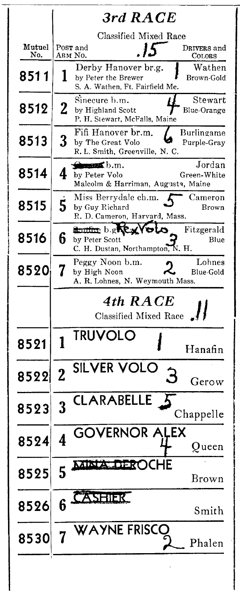|               | $3rd$ $RACE$          |                                                        |                       |  |
|---------------|-----------------------|--------------------------------------------------------|-----------------------|--|
|               | Classified Mixed Race |                                                        |                       |  |
| Mutuel<br>No. | ARM No.               | Post and<br>15                                         | DRIVERS and<br>Colors |  |
|               |                       | Derby Hanover br.g.                                    | Wathen                |  |
| 8511          | I                     | by Peter the Brewer<br>S. A. Wathen, Ft. Fairfield Me. | Brown-Gold            |  |
|               |                       | Sinecure b.m.                                          | ${\rm Stewart}$       |  |
| 8512          | 2                     | by Highland Scott<br>P. H. Stewart, McFalls, Maine     | <b>Blue-Orange</b>    |  |
|               |                       | Fifi Hanover br.m.                                     | Burlingame            |  |
| 8513          | 3                     | by The Great Volo                                      | Purple-Gray           |  |
|               |                       | R. L. Smith, Greenville, N. C.                         |                       |  |
|               |                       | $\triangle$ models b.m.                                | Jordan                |  |
| 8514          | 4                     | by Peter Volo                                          | Green-White           |  |
|               |                       | Malcolm & Harriman, Augusta, Maine                     |                       |  |
|               |                       | Miss Berrydale ch.m.                                   | Cameron               |  |
| 8515          | 5                     | by Guy Richard                                         | Brown                 |  |
|               |                       | R. D. Cameron, Harvard, Mass.                          |                       |  |
|               |                       | <b>Entitle big Rest</b><br>O.                          | Fitzgerald            |  |
| 8516          | 6                     | by Peter Scott                                         | Blue                  |  |
|               |                       | C. H. Dustan, Northampton, N. H.                       |                       |  |
|               |                       | Peggy Noon b.m.                                        | Lohnes                |  |
| 8520          |                       | by High Noon                                           | Blue-Gold             |  |
|               |                       | A. R. Lohnes, N. Weymouth Mass.                        |                       |  |
|               |                       |                                                        |                       |  |
|               |                       |                                                        |                       |  |
|               |                       | 4th RACE                                               |                       |  |
|               |                       | <b>Classified Mixed Race</b>                           |                       |  |
|               |                       |                                                        |                       |  |
| 8521          | 1                     | <b>TRUVOLO</b>                                         |                       |  |
|               |                       |                                                        | Hanafin               |  |
|               |                       |                                                        |                       |  |
| 8522 2        |                       | <b>SILVER VOLC</b>                                     |                       |  |
|               |                       |                                                        | Gerow                 |  |
|               |                       | <b>CLARABELLE</b>                                      |                       |  |
| 8523          | J                     |                                                        |                       |  |
|               |                       |                                                        | Chappelle             |  |
|               |                       | <b>GOVERNOR ALEX</b>                                   |                       |  |
| 8524          | 4                     |                                                        | Queen                 |  |
|               |                       |                                                        |                       |  |
|               |                       | MINTALDEROCHE                                          |                       |  |
| 8525          | 5                     |                                                        | Brown                 |  |
|               |                       |                                                        |                       |  |
|               | հ                     | ASHIER                                                 |                       |  |
| 8526          |                       |                                                        | Smith                 |  |
|               |                       |                                                        |                       |  |
|               |                       | WAYNE FRISCC                                           |                       |  |
| 8530          |                       |                                                        | Phalen                |  |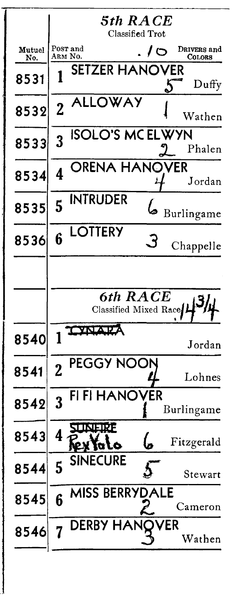|               |                | 5th RACE<br>Classified Trot       |                |     |                       |
|---------------|----------------|-----------------------------------|----------------|-----|-----------------------|
| Mutuel<br>No. | ARM No.        | Pos <b>r</b> and                  | $\overline{1}$ |     | DRIVERS and<br>COLORS |
| 8531          |                | SETZER HANOVER                    |                |     | Duffy                 |
| 8532          | $\overline{2}$ | LLOWAY                            |                |     | Wathen                |
| 8533          | 3              | <b>ISOLO'S MCELWYN</b>            |                |     | Phalen                |
| 8534          | 4              | RENA HANOVER                      |                |     | Jordan                |
| 8535          | 5              | <b>INTRUDER</b>                   |                |     | Burlingame            |
| 8536          | 6              | LOTTERY                           |                |     | Chappelle             |
|               |                |                                   |                |     |                       |
|               |                | 6th RACE<br>Classified Mixed Race |                |     |                       |
| 8540          |                |                                   |                |     | Jordan                |
| 8541          | $\overline{2}$ | PEGGY NOOI                        |                |     | Lohnes                |
| 8542          | 3              | IANOVER                           |                |     | Burlingame            |
| 8543          | 4              | .IRF                              |                |     | Fitzgerald            |
| 8544          | 5              | <b>SINECURE</b>                   |                |     | Stewart               |
| 8545          | 6              | MISS BERRYI                       | <b>ALE</b>     |     | Cameron               |
| 8546          |                | <b>DERBY</b><br>HAN               |                | /ER | Wathen                |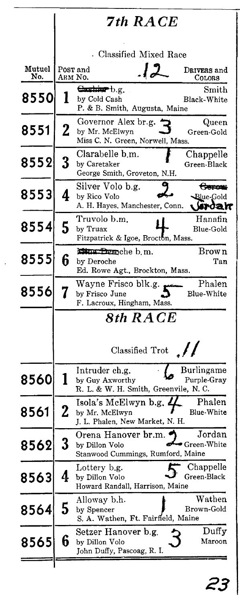|               |             | <b>7th RACE</b>                                                            |                                                |
|---------------|-------------|----------------------------------------------------------------------------|------------------------------------------------|
|               |             | Classified Mixed Race                                                      |                                                |
| Mutuel<br>No. |             | .12<br>Post and<br>ARM N0.                                                 | DRIVERS and<br>COLORS                          |
| 8550          | l           | Cashin b.g.<br>by Cold Cash<br>P. & B. Smith, Augusta, Maine               | $_{\rm Smith}$<br>Black-White                  |
| 8551          | $\mathbf 2$ | Governor Alex br.g.<br>by Mr. McElwyn<br>Miss C. N. Green, Norwell, Mass.  | Queen<br>Green-Gold                            |
| 8552          | 3           | Clarabelle b.m.<br>by Caretaker<br>George Smith, Groveton, N.H.            | Chappelle<br>Green-Black                       |
| 8553          | 4           | Silver Volo b.g.<br>by Rico Volo<br>A. H. Hayes, Manchester, Conn.         | <del>Geron:</del><br><b>⊰Blue-Gold</b><br>moar |
| 8554          | 5           | Truvolo b.m.<br>by Truax<br>Fitzpatrick & Igoe, Brocton, Mass.             | Hanafin<br>Blue-Gold                           |
| 8555          | 6           | Mins Benche b.m.<br>by Deroche<br>Ed. Rowe Agt., Brockton, Mass.           | Brown<br>Tan                                   |
| 8556          | 7           | Wayne Frisco blk.g.<br>by Frisco June<br>F. Lacroux, Hingham, Mass.        | Phalen<br>Blue-White                           |
|               |             | 8th RACE                                                                   |                                                |
|               |             | Classified Trot $\mathcal{N}$                                              |                                                |
| 8560          | 1           | Intruder ch.g.<br>by Guy Axworthy<br>R. L. & W. H. Smith, Greenvile, N. C. | Burlingame<br>Purple-Gray                      |
| 8561          |             | Isola's McElwyn b.g.<br>by Mr. McElwyn<br>J. L. Phalen, New Market, N. H.  | Phalen<br>Blue-Whit <b>e</b>                   |
| 8562          | 3           | Orena Hanover br.m.<br>by Dillon Volo<br>Stanwood Cummings, Rumford, Maine | Jordan<br>Green-White                          |
| 8563          | 4           | Lottery b.g.<br>by Dillon Volo<br>Howard Randall, Harrison, Maine          | Chappelle<br>Green-Black                       |
| 8564          | 5           | Alloway b.h.<br>by Spencer<br>S. A. Wathen, Ft. Fairfield, Maine           | Wathen<br>Brown-Gold                           |
| 8565          | 6           | Setzer Hanover b.g.<br>by Dillon Volo<br>John Duffy, Pascoag, R. I.        | Duffy<br>Maroon                                |
|               |             |                                                                            |                                                |